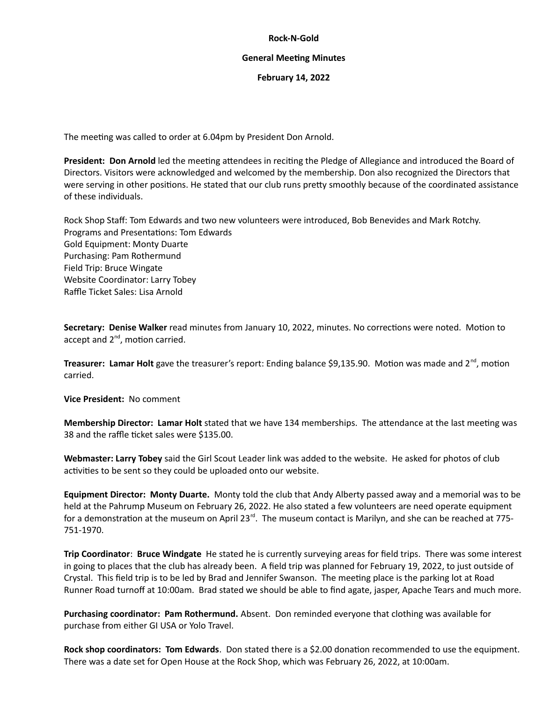#### **Rock-N-Gold**

#### **General Meeting Minutes**

## **February 14, 2022**

The meeting was called to order at 6.04pm by President Don Arnold.

**President: Don Arnold** led the meeting attendees in reciting the Pledge of Allegiance and introduced the Board of Directors. Visitors were acknowledged and welcomed by the membership. Don also recognized the Directors that were serving in other positions. He stated that our club runs pretty smoothly because of the coordinated assistance of these individuals.

Rock Shop Staff: Tom Edwards and two new volunteers were introduced, Bob Benevides and Mark Rotchy. Programs and Presentations: Tom Edwards Gold Equipment: Monty Duarte Purchasing: Pam Rothermund Field Trip: Bruce Wingate Website Coordinator: Larry Tobey Raffle Ticket Sales: Lisa Arnold

**Secretary: Denise Walker** read minutes from January 10, 2022, minutes. No corrections were noted. Motion to accept and 2<sup>nd</sup>, motion carried.

**Treasurer: Lamar Holt** gave the treasurer's report: Ending balance \$9,135.90. Motion was made and 2<sup>nd</sup>, motion carried.

**Vice President:** No comment

**Membership Director: Lamar Holt** stated that we have 134 memberships. The attendance at the last meeting was 38 and the raffle ticket sales were \$135.00.

**Webmaster: Larry Tobey** said the Girl Scout Leader link was added to the website. He asked for photos of club activities to be sent so they could be uploaded onto our website.

**Equipment Director: Monty Duarte.** Monty told the club that Andy Alberty passed away and a memorial was to be held at the Pahrump Museum on February 26, 2022. He also stated a few volunteers are need operate equipment for a demonstration at the museum on April 23 $<sup>rd</sup>$ . The museum contact is Marilyn, and she can be reached at 775-</sup> 751-1970.

**Trip Coordinator**: **Bruce Windgate** He stated he is currently surveying areas for field trips. There was some interest in going to places that the club has already been. A field trip was planned for February 19, 2022, to just outside of Crystal. This field trip is to be led by Brad and Jennifer Swanson. The meeting place is the parking lot at Road Runner Road turnoff at 10:00am. Brad stated we should be able to find agate, jasper, Apache Tears and much more.

**Purchasing coordinator: Pam Rothermund.** Absent. Don reminded everyone that clothing was available for purchase from either GI USA or Yolo Travel.

**Rock shop coordinators: Tom Edwards**. Don stated there is a \$2.00 donation recommended to use the equipment. There was a date set for Open House at the Rock Shop, which was February 26, 2022, at 10:00am.